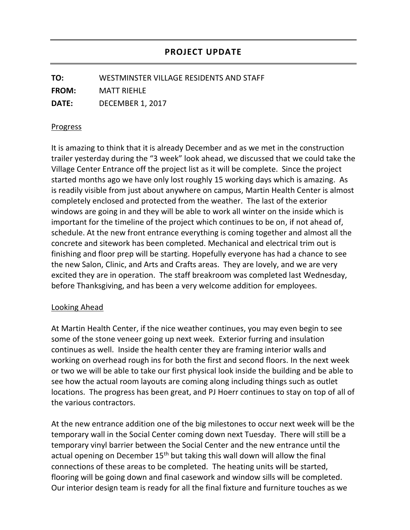**TO:** WESTMINSTER VILLAGE RESIDENTS AND STAFF **FROM:** MATT RIEHLE **DATE:** DECEMBER 1, 2017

## Progress

It is amazing to think that it is already December and as we met in the construction trailer yesterday during the "3 week" look ahead, we discussed that we could take the Village Center Entrance off the project list as it will be complete. Since the project started months ago we have only lost roughly 15 working days which is amazing. As is readily visible from just about anywhere on campus, Martin Health Center is almost completely enclosed and protected from the weather. The last of the exterior windows are going in and they will be able to work all winter on the inside which is important for the timeline of the project which continues to be on, if not ahead of, schedule. At the new front entrance everything is coming together and almost all the concrete and sitework has been completed. Mechanical and electrical trim out is finishing and floor prep will be starting. Hopefully everyone has had a chance to see the new Salon, Clinic, and Arts and Crafts areas. They are lovely, and we are very excited they are in operation. The staff breakroom was completed last Wednesday, before Thanksgiving, and has been a very welcome addition for employees.

## Looking Ahead

At Martin Health Center, if the nice weather continues, you may even begin to see some of the stone veneer going up next week. Exterior furring and insulation continues as well. Inside the health center they are framing interior walls and working on overhead rough ins for both the first and second floors. In the next week or two we will be able to take our first physical look inside the building and be able to see how the actual room layouts are coming along including things such as outlet locations. The progress has been great, and PJ Hoerr continues to stay on top of all of the various contractors.

At the new entrance addition one of the big milestones to occur next week will be the temporary wall in the Social Center coming down next Tuesday. There will still be a temporary vinyl barrier between the Social Center and the new entrance until the actual opening on December 15<sup>th</sup> but taking this wall down will allow the final connections of these areas to be completed. The heating units will be started, flooring will be going down and final casework and window sills will be completed. Our interior design team is ready for all the final fixture and furniture touches as we